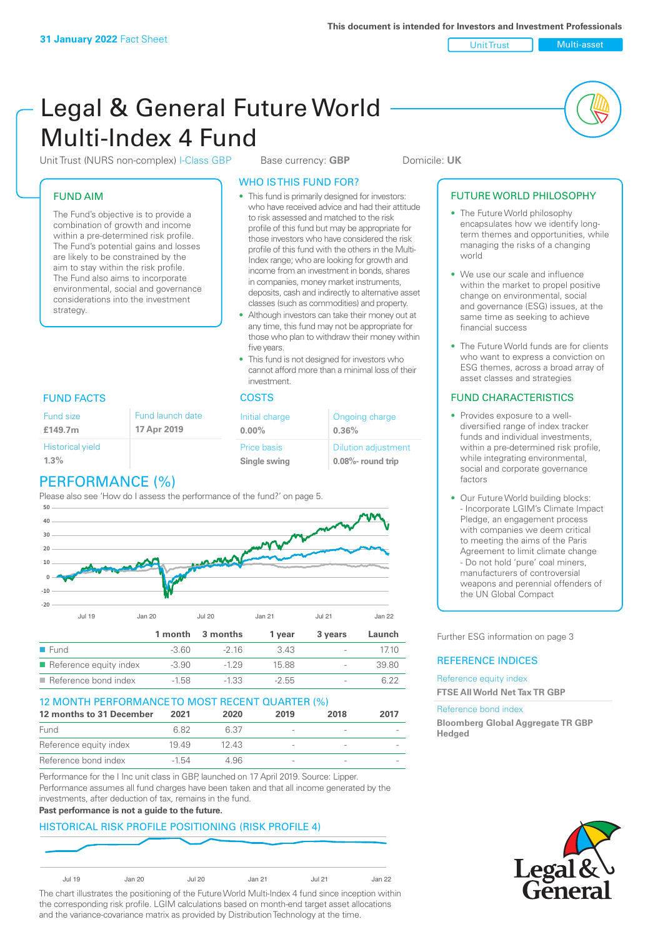Unit Trust Nulti-asset

# Legal & General Future World Multi-Index 4 Fund

Unit Trust (NURS non-complex) I-Class GBP Base currency: **GBP** Domicile: UK

# FUND AIM

The Fund's objective is to provide a combination of growth and income within a pre-determined risk profile. The Fund's potential gains and losses are likely to be constrained by the aim to stay within the risk profile. The Fund also aims to incorporate environmental, social and governance considerations into the investment strategy.

# WHO IS THIS FUND FOR?

- This fund is primarily designed for investors: who have received advice and had their attitude to risk assessed and matched to the risk profile of this fund but may be appropriate for those investors who have considered the risk profile of this fund with the others in the Multi-Index range; who are looking for growth and income from an investment in bonds, shares in companies, money market instruments, deposits, cash and indirectly to alternative asset classes (such as commodities) and property.
- Although investors can take their money out at any time, this fund may not be appropriate for those who plan to withdraw their money within five years.
- This fund is not designed for investors who cannot afford more than a minimal loss of their investment.

| Fund launch date | Initial charge              | Ongoing charge                                  |
|------------------|-----------------------------|-------------------------------------------------|
| 17 Apr 2019      | $0.00\%$                    | 0.36%                                           |
|                  | Price basis<br>Single swing | <b>Dilution adjustment</b><br>0.08%- round trip |

# FUND FACTS COSTS

Historical yield

Fund size **£149.7m**

| $1.3\%$ |  |  |
|---------|--|--|
|         |  |  |

# PERFORMANCE (%)

Please also see 'How do I assess the performance of the fund?' on page 5.



# 12 MONTH PERFORMANCE TO MOST RECENT QUARTER (%)

| 12 months to 31 December | 2021  | 2020 | 2019                     | 2018                     | 2017 |
|--------------------------|-------|------|--------------------------|--------------------------|------|
| Fund                     | 682   | 6.37 | $\overline{\phantom{a}}$ | $\overline{\phantom{a}}$ |      |
| Reference equity index   | 1949  | 1243 |                          | $\overline{\phantom{a}}$ |      |
| Reference bond index     | -1.54 | 4.96 | $\overline{\phantom{a}}$ | $\overline{\phantom{a}}$ |      |

Performance for the I Inc unit class in GBP, launched on 17 April 2019. Source: Lipper. Performance assumes all fund charges have been taken and that all income generated by the investments, after deduction of tax, remains in the fund.

#### **Past performance is not a guide to the future.**

# HISTORICAL RISK PROFILE POSITIONING (RISK PROFILE 4)



The chart illustrates the positioning of the Future World Multi-Index 4 fund since inception within the corresponding risk profile. LGIM calculations based on month-end target asset allocations and the variance-covariance matrix as provided by Distribution Technology at the time.

# FUTURE WORLD PHILOSOPHY

- The Future World philosophy encapsulates how we identify longterm themes and opportunities, while managing the risks of a changing world
- We use our scale and influence within the market to propel positive change on environmental, social and governance (ESG) issues, at the same time as seeking to achieve financial success
- The Future World funds are for clients who want to express a conviction on ESG themes, across a broad array of asset classes and strategies

# FUND CHARACTERISTICS

- Provides exposure to a welldiversified range of index tracker funds and individual investments, within a pre-determined risk profile while integrating environmental, social and corporate governance factors
- Our Future World building blocks: - Incorporate LGIM's Climate Impact Pledge, an engagement process with companies we deem critical to meeting the aims of the Paris Agreement to limit climate change - Do not hold 'pure' coal miners, manufacturers of controversial weapons and perennial offenders of the UN Global Compact

Further ESG information on page 3

# REFERENCE INDICES

#### Reference equity index **FTSE All World Net Tax TR GBP**

#### Reference bond index

**Bloomberg Global Aggregate TR GBP Hedged**

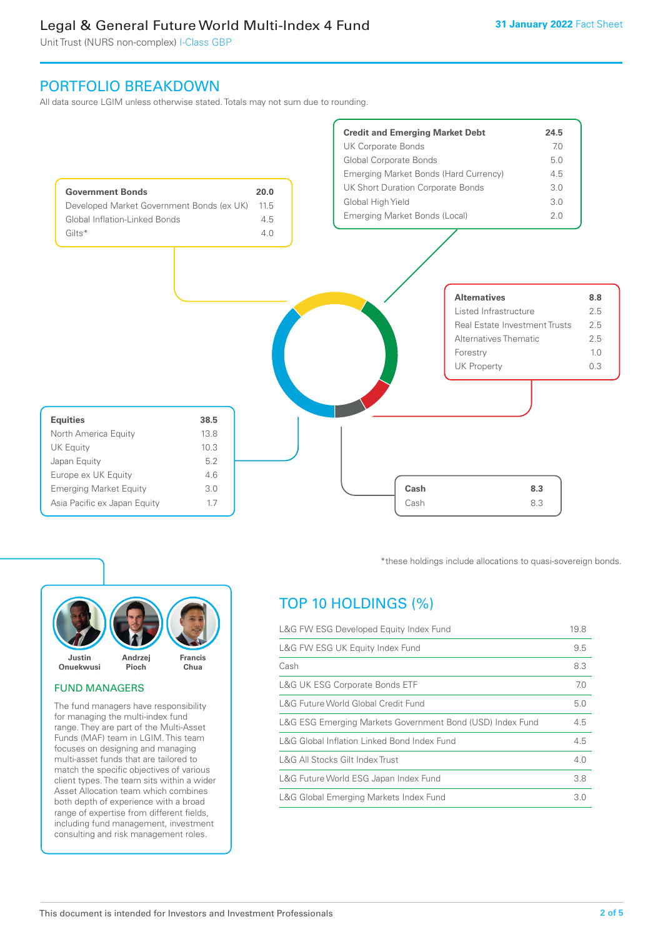Unit Trust (NURS non-complex) I-Class GBP

# PORTFOLIO BREAKDOWN

All data source LGIM unless otherwise stated. Totals may not sum due to rounding.





# FUND MANAGERS

The fund managers have responsibility for managing the multi-index fund range. They are part of the Multi-Asset Funds (MAF) team in LGIM. This team focuses on designing and managing multi-asset funds that are tailored to match the specific objectives of various client types. The team sits within a wider Asset Allocation team which combines both depth of experience with a broad range of expertise from different fields, including fund management, investment consulting and risk management roles.

\*these holdings include allocations to quasi-sovereign bonds.

# TOP 10 HOLDINGS (%)

| L&G FW ESG Developed Equity Index Fund                    |     |
|-----------------------------------------------------------|-----|
| L&G FW ESG UK Equity Index Fund                           | 9.5 |
| Cash                                                      | 8.3 |
| <b>L&amp;G UK ESG Corporate Bonds ETF</b>                 | 7.0 |
| L&G Future World Global Credit Fund                       | 5.0 |
| L&G ESG Emerging Markets Government Bond (USD) Index Fund | 4.5 |
| L&G Global Inflation Linked Bond Index Fund               |     |
| L&G All Stocks Gilt Index Trust                           | 4.0 |
| L&G Future World ESG Japan Index Fund                     | 3.8 |
| L&G Global Emerging Markets Index Fund                    |     |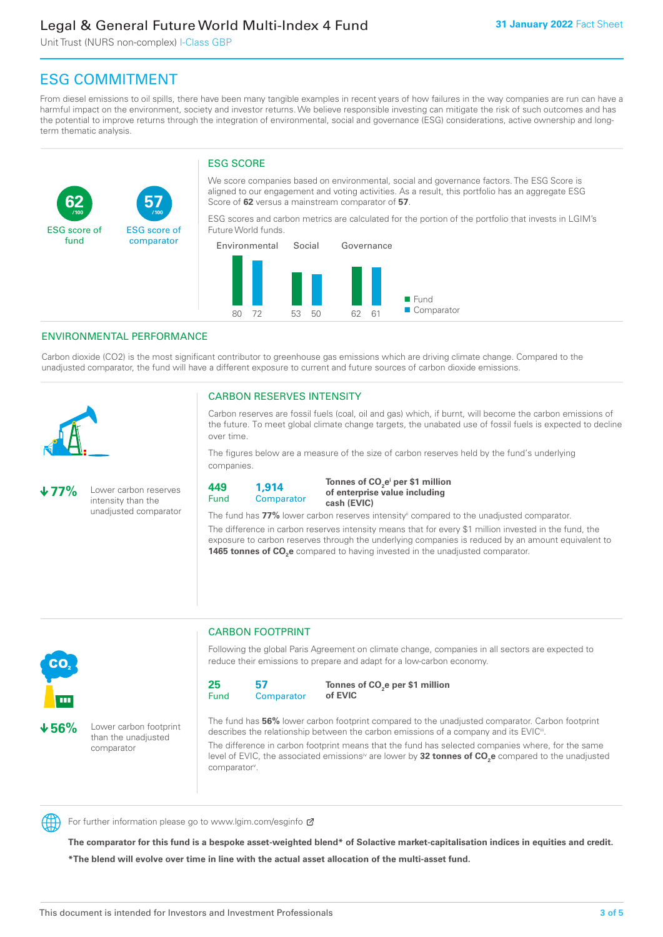Unit Trust (NURS non-complex) I-Class GBP

**57**

ESG score of comparator

# ESG COMMITMENT

From diesel emissions to oil spills, there have been many tangible examples in recent years of how failures in the way companies are run can have a harmful impact on the environment, society and investor returns. We believe responsible investing can mitigate the risk of such outcomes and has the potential to improve returns through the integration of environmental, social and governance (ESG) considerations, active ownership and longterm thematic analysis.

# ESG SCORE

We score companies based on environmental, social and governance factors. The ESG Score is aligned to our engagement and voting activities. As a result, this portfolio has an aggregate ESG Score of **62** versus a mainstream comparator of **57**.

ESG scores and carbon metrics are calculated for the portion of the portfolio that invests in LGIM's Future World funds.



# ENVIRONMENTAL PERFORMANCE

**/100 /100**

Carbon dioxide (CO2) is the most significant contributor to greenhouse gas emissions which are driving climate change. Compared to the unadjusted comparator, the fund will have a different exposure to current and future sources of carbon dioxide emissions.



**62**

ESG score of fund

### CARBON RESERVES INTENSITY

Carbon reserves are fossil fuels (coal, oil and gas) which, if burnt, will become the carbon emissions of the future. To meet global climate change targets, the unabated use of fossil fuels is expected to decline over time.

The figures below are a measure of the size of carbon reserves held by the fund's underlying companies.

**77%** Lower carbon reserves intensity than the unadjusted comparator



Tonnes of CO<sub>2</sub>e<sup>i</sup> per \$1 million **of enterprise value including cash (EVIC)**

The fund has 77% lower carbon reserves intensity<sup>ii</sup> compared to the unadjusted comparator.

The difference in carbon reserves intensity means that for every \$1 million invested in the fund, the exposure to carbon reserves through the underlying companies is reduced by an amount equivalent to **1465 tonnes of CO<sub>2</sub>e** compared to having invested in the unadjusted comparator.



**56%** Lower carbon footprint than the unadjusted comparator

CARBON FOOTPRINT

Following the global Paris Agreement on climate change, companies in all sectors are expected to reduce their emissions to prepare and adapt for a low-carbon economy.



**Tonnes of CO2 e per \$1 million of EVIC**

The fund has **56%** lower carbon footprint compared to the unadjusted comparator. Carbon footprint describes the relationship between the carbon emissions of a company and its EVIC<sup>ii</sup>.

The difference in carbon footprint means that the fund has selected companies where, for the same level of EVIC, the associated emissions<sup>iv</sup> are lower by **32 tonnes of CO<sub>2</sub>e** compared to the unadjusted comparator<sup>v</sup>.



For further information please go to www.lgim.com/esginfo Ø

**The comparator for this fund is a bespoke asset-weighted blend\* of Solactive market-capitalisation indices in equities and credit. \*The blend will evolve over time in line with the actual asset allocation of the multi-asset fund.**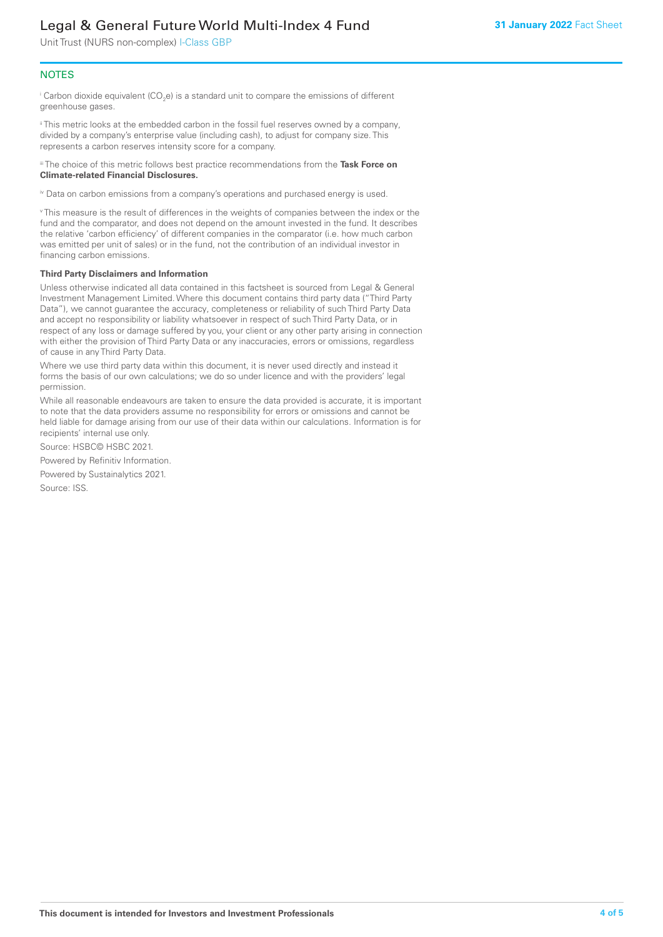Unit Trust (NURS non-complex) I-Class GBP

# **NOTES**

 $^\mathrm{i}$  Carbon dioxide equivalent (CO<sub>2</sub>e) is a standard unit to compare the emissions of different greenhouse gases.

ii This metric looks at the embedded carbon in the fossil fuel reserves owned by a company, divided by a company's enterprise value (including cash), to adjust for company size. This represents a carbon reserves intensity score for a company.

iii The choice of this metric follows best practice recommendations from the **Task Force on Climate-related Financial Disclosures.**

iv Data on carbon emissions from a company's operations and purchased energy is used.

v This measure is the result of differences in the weights of companies between the index or the fund and the comparator, and does not depend on the amount invested in the fund. It describes the relative 'carbon efficiency' of different companies in the comparator (i.e. how much carbon was emitted per unit of sales) or in the fund, not the contribution of an individual investor in financing carbon emissions.

#### **Third Party Disclaimers and Information**

Unless otherwise indicated all data contained in this factsheet is sourced from Legal & General Investment Management Limited. Where this document contains third party data ("Third Party Data"), we cannot guarantee the accuracy, completeness or reliability of such Third Party Data and accept no responsibility or liability whatsoever in respect of such Third Party Data, or in respect of any loss or damage suffered by you, your client or any other party arising in connection with either the provision of Third Party Data or any inaccuracies, errors or omissions, regardless of cause in any Third Party Data.

Where we use third party data within this document, it is never used directly and instead it forms the basis of our own calculations; we do so under licence and with the providers' legal permission.

While all reasonable endeavours are taken to ensure the data provided is accurate, it is important to note that the data providers assume no responsibility for errors or omissions and cannot be held liable for damage arising from our use of their data within our calculations. Information is for recipients' internal use only.

Source: HSBC© HSBC 2021.

Powered by Refinitiv Information.

Powered by Sustainalytics 2021.

Source: ISS.